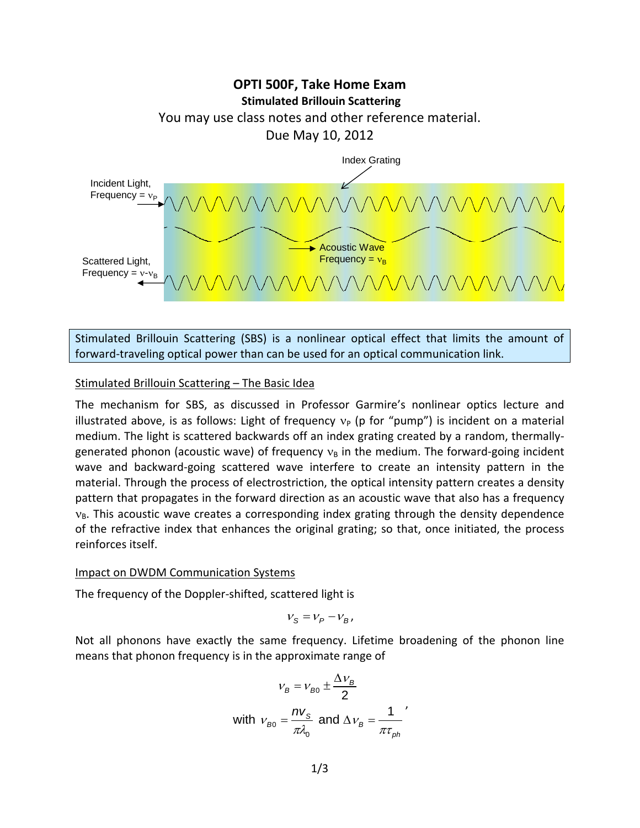

Stimulated Brillouin Scattering (SBS) is a nonlinear optical effect that limits the amount of forward-traveling optical power than can be used for an optical communication link.

### Stimulated Brillouin Scattering – The Basic Idea

The mechanism for SBS, as discussed in Professor Garmire's nonlinear optics lecture and illustrated above, is as follows: Light of frequency  $v_p$  (p for "pump") is incident on a material medium. The light is scattered backwards off an index grating created by a random, thermallygenerated phonon (acoustic wave) of frequency  $v_B$  in the medium. The forward-going incident wave and backward-going scattered wave interfere to create an intensity pattern in the material. Through the process of electrostriction, the optical intensity pattern creates a density pattern that propagates in the forward direction as an acoustic wave that also has a frequency  $v_B$ . This acoustic wave creates a corresponding index grating through the density dependence of the refractive index that enhances the original grating; so that, once initiated, the process reinforces itself.

#### Impact on DWDM Communication Systems

The frequency of the Doppler-shifted, scattered light is

$$
V_{\rm S} = V_P - V_B,
$$

Not all phonons have exactly the same frequency. Lifetime broadening of the phonon line means that phonon frequency is in the approximate range of

$$
v_B = v_{B0} \pm \frac{\Delta v_B}{2}
$$
  
with  $v_{B0} = \frac{nv_S}{\pi \lambda_0}$  and  $\Delta v_B = \frac{1}{\pi \tau_{ph}}$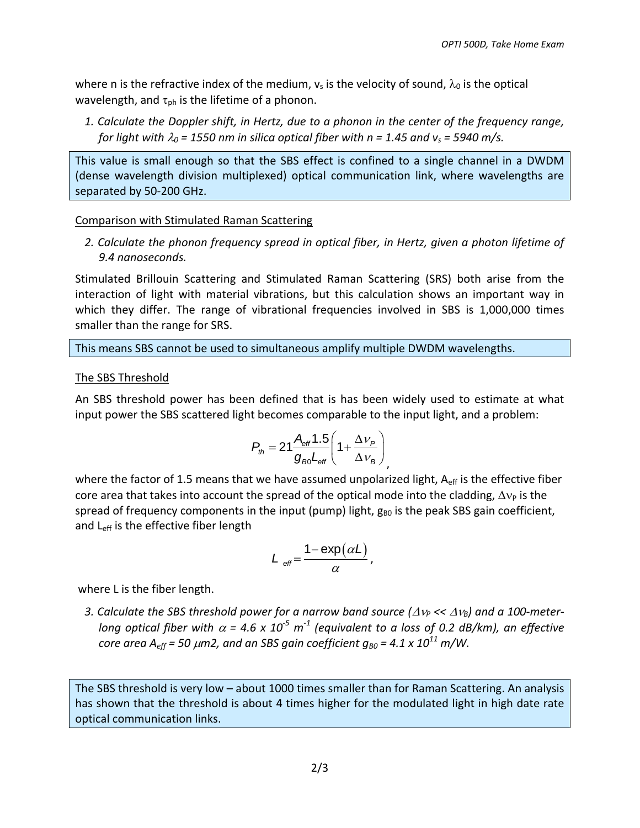where n is the refractive index of the medium,  $v_s$  is the velocity of sound,  $\lambda_0$  is the optical wavelength, and  $\tau_{\rm ph}$  is the lifetime of a phonon.

*1. Calculate the Doppler shift, in Hertz, due to a phonon in the center of the frequency range, for light with*  $\lambda_0$  *= 1550 nm in silica optical fiber with n = 1.45 and v<sub>s</sub> = 5940 m/s.* 

This value is small enough so that the SBS effect is confined to a single channel in a DWDM (dense wavelength division multiplexed) optical communication link, where wavelengths are separated by 50-200 GHz.

## Comparison with Stimulated Raman Scattering

*2. Calculate the phonon frequency spread in optical fiber, in Hertz, given a photon lifetime of 9.4 nanoseconds.*

Stimulated Brillouin Scattering and Stimulated Raman Scattering (SRS) both arise from the interaction of light with material vibrations, but this calculation shows an important way in which they differ. The range of vibrational frequencies involved in SBS is 1,000,000 times smaller than the range for SRS.

This means SBS cannot be used to simultaneous amplify multiple DWDM wavelengths.

# The SBS Threshold

An SBS threshold power has been defined that is has been widely used to estimate at what input power the SBS scattered light becomes comparable to the input light, and a problem:

$$
P_{th} = 21 \frac{A_{\text{eff}} 1.5}{g_{\text{B0}} L_{\text{eff}}} \left( 1 + \frac{\Delta v_{p}}{\Delta v_{B}} \right)
$$

where the factor of 1.5 means that we have assumed unpolarized light,  $A_{\text{eff}}$  is the effective fiber core area that takes into account the spread of the optical mode into the cladding,  $\Delta v_{\rm P}$  is the spread of frequency components in the input (pump) light,  $g_{B0}$  is the peak SBS gain coefficient, and L<sub>eff</sub> is the effective fiber length

$$
L_{\text{eff}} = \frac{1 - \exp(\alpha L)}{\alpha},
$$

where L is the fiber length.

*3. Calculate the SBS threshold power for a narrow band source (* $\Delta v_p \ll \Delta v_p$ *) and a 100-meterlong optical fiber with*  $\alpha$  *= 4.6 x 10<sup>-5</sup> m<sup>-1</sup> (equivalent to a loss of 0.2 dB/km), an effective core area*  $A_{\text{eff}}$  = 50  $\mu$ m2, and an SBS gain coefficient  $g_{B0}$  = 4.1 x 10<sup>11</sup> m/W.

The SBS threshold is very low – about 1000 times smaller than for Raman Scattering. An analysis has shown that the threshold is about 4 times higher for the modulated light in high date rate optical communication links.